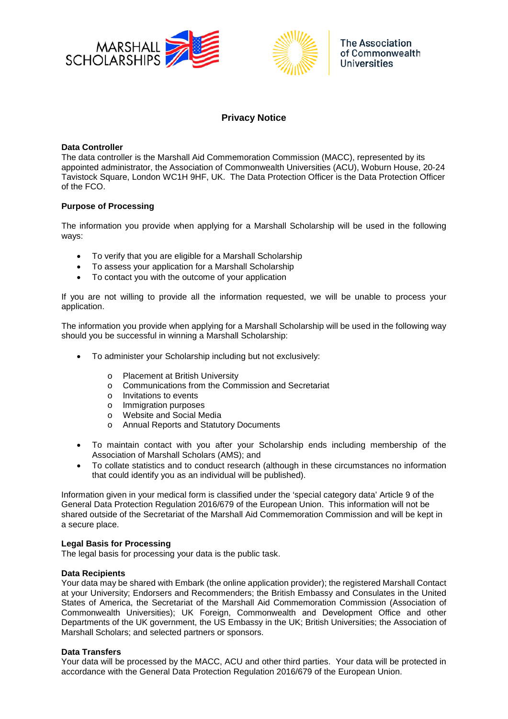



# **Privacy Notice**

## **Data Controller**

The data controller is the Marshall Aid Commemoration Commission (MACC), represented by its appointed administrator, the Association of Commonwealth Universities (ACU), Woburn House, 20-24 Tavistock Square, London WC1H 9HF, UK. The Data Protection Officer is the Data Protection Officer of the FCO.

# **Purpose of Processing**

The information you provide when applying for a Marshall Scholarship will be used in the following ways:

- To verify that you are eligible for a Marshall Scholarship
- To assess your application for a Marshall Scholarship
- To contact you with the outcome of your application

If you are not willing to provide all the information requested, we will be unable to process your application.

The information you provide when applying for a Marshall Scholarship will be used in the following way should you be successful in winning a Marshall Scholarship:

- To administer your Scholarship including but not exclusively:
	- o Placement at British University
	- $\circ$  Communications from the Commission and Secretariat  $\circ$  Invitations to events
	- Invitations to events
	- o Immigration purposes<br>
	o Website and Social M
	- Website and Social Media
	- o Annual Reports and Statutory Documents
- To maintain contact with you after your Scholarship ends including membership of the Association of Marshall Scholars (AMS); and
- To collate statistics and to conduct research (although in these circumstances no information that could identify you as an individual will be published).

Information given in your medical form is classified under the 'special category data' Article 9 of the General Data Protection Regulation 2016/679 of the European Union. This information will not be shared outside of the Secretariat of the Marshall Aid Commemoration Commission and will be kept in a secure place.

#### **Legal Basis for Processing**

The legal basis for processing your data is the public task.

#### **Data Recipients**

Your data may be shared with Embark (the online application provider); the registered Marshall Contact at your University; Endorsers and Recommenders; the British Embassy and Consulates in the United States of America, the Secretariat of the Marshall Aid Commemoration Commission (Association of Commonwealth Universities); UK Foreign, Commonwealth and Development Office and other Departments of the UK government, the US Embassy in the UK; British Universities; the Association of Marshall Scholars; and selected partners or sponsors.

# **Data Transfers**

Your data will be processed by the MACC, ACU and other third parties. Your data will be protected in accordance with the General Data Protection Regulation 2016/679 of the European Union.